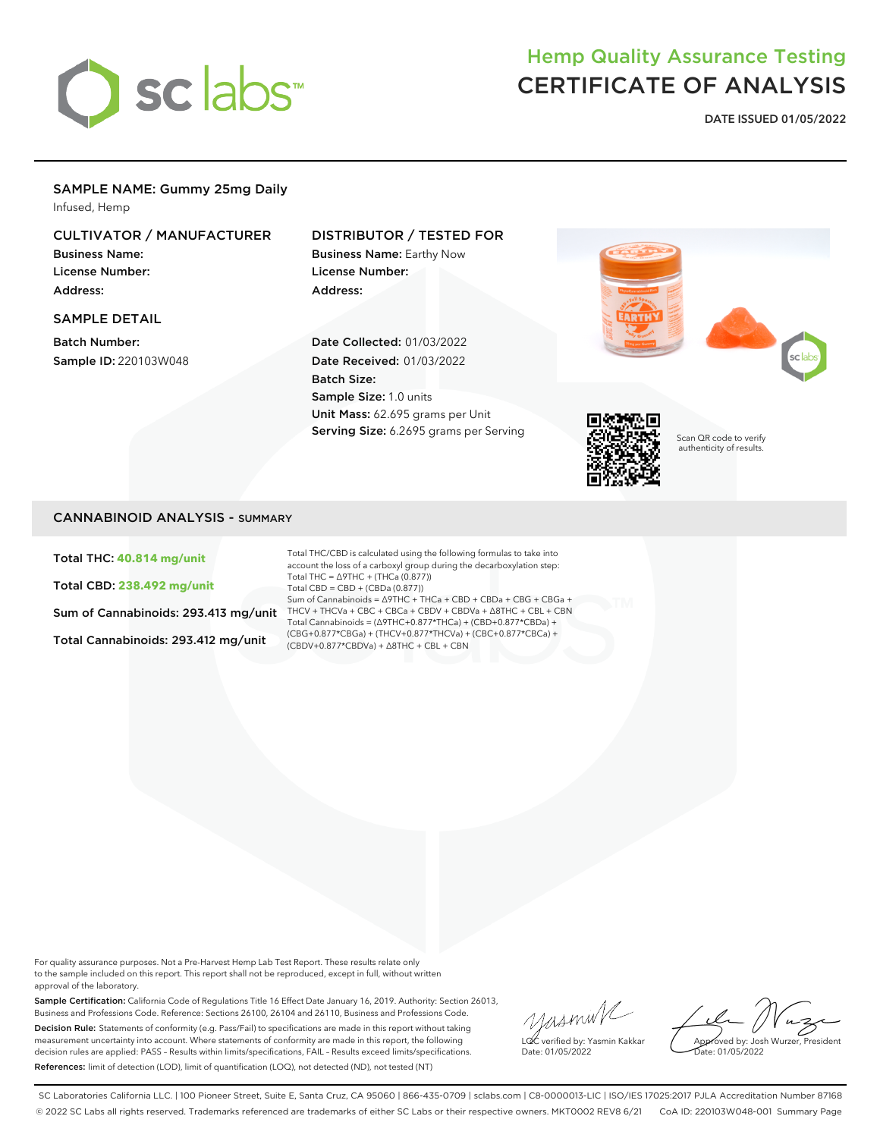

## Hemp Quality Assurance Testing CERTIFICATE OF ANALYSIS

**DATE ISSUED 01/05/2022**

## SAMPLE NAME: Gummy 25mg Daily

Infused, Hemp

### CULTIVATOR / MANUFACTURER

Business Name: License Number: Address:

#### SAMPLE DETAIL

Batch Number: Sample ID: 220103W048

#### DISTRIBUTOR / TESTED FOR

Business Name: Earthy Now License Number: Address:

Date Collected: 01/03/2022 Date Received: 01/03/2022 Batch Size: Sample Size: 1.0 units Unit Mass: 62.695 grams per Unit Serving Size: 6.2695 grams per Serving





Scan QR code to verify authenticity of results.

#### CANNABINOID ANALYSIS - SUMMARY

Total THC: **40.814 mg/unit**

Total CBD: **238.492 mg/unit**

Sum of Cannabinoids: 293.413 mg/unit

Total Cannabinoids: 293.412 mg/unit

Total THC/CBD is calculated using the following formulas to take into account the loss of a carboxyl group during the decarboxylation step: Total THC = ∆9THC + (THCa (0.877)) Total CBD = CBD + (CBDa (0.877)) Sum of Cannabinoids = ∆9THC + THCa + CBD + CBDa + CBG + CBGa + THCV + THCVa + CBC + CBCa + CBDV + CBDVa + ∆8THC + CBL + CBN Total Cannabinoids = (∆9THC+0.877\*THCa) + (CBD+0.877\*CBDa) + (CBG+0.877\*CBGa) + (THCV+0.877\*THCVa) + (CBC+0.877\*CBCa) + (CBDV+0.877\*CBDVa) + ∆8THC + CBL + CBN

For quality assurance purposes. Not a Pre-Harvest Hemp Lab Test Report. These results relate only to the sample included on this report. This report shall not be reproduced, except in full, without written approval of the laboratory.

Sample Certification: California Code of Regulations Title 16 Effect Date January 16, 2019. Authority: Section 26013, Business and Professions Code. Reference: Sections 26100, 26104 and 26110, Business and Professions Code. Decision Rule: Statements of conformity (e.g. Pass/Fail) to specifications are made in this report without taking measurement uncertainty into account. Where statements of conformity are made in this report, the following decision rules are applied: PASS – Results within limits/specifications, FAIL – Results exceed limits/specifications. References: limit of detection (LOD), limit of quantification (LOQ), not detected (ND), not tested (NT)

yusmin/ LQC verified by: Yasmin Kakkar Date: 01/05/2022

Approved by: Josh Wurzer, President ate: 01/05/2022

SC Laboratories California LLC. | 100 Pioneer Street, Suite E, Santa Cruz, CA 95060 | 866-435-0709 | sclabs.com | C8-0000013-LIC | ISO/IES 17025:2017 PJLA Accreditation Number 87168 © 2022 SC Labs all rights reserved. Trademarks referenced are trademarks of either SC Labs or their respective owners. MKT0002 REV8 6/21 CoA ID: 220103W048-001 Summary Page